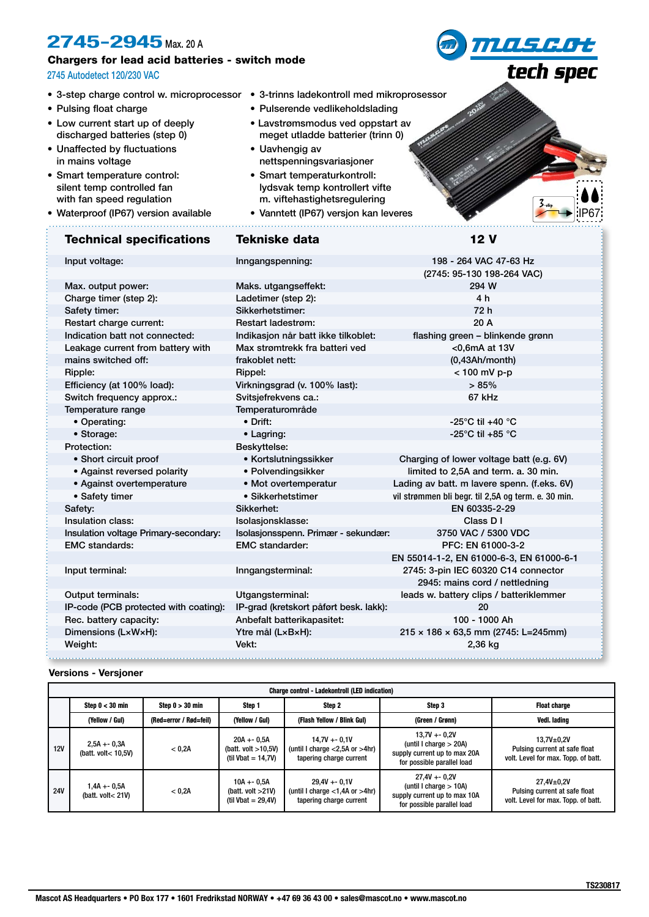# **2745-2945** Max. 20 A

## Chargers for lead acid batteries - switch mode

### 2745 Autodetect 120/230 VAC

- 
- Pulsing float charge
- Low current start up of deeply discharged batteries (step 0)
- Unaffected by fluctuations in mains voltage
- Smart temperature control: silent temp controlled fan with fan speed regulation
- Waterproof (IP67) version available

# Technical specifications Tekniske data 12 V

• 3-step charge control w. microprocessor • 3-trinns ladekontroll med mikroprosessor

- Pulserende vedlikeholdslading
- Lavstrømsmodus ved oppstart av meget utladde batterier (trinn 0)
- Uavhengig av nettspenningsvariasjoner
- Smart temperaturkontroll: lydsvak temp kontrollert vifte m. viftehastighetsregulering
- Vanntett (IP67) versjon kan leveres

**MASGOt** 

tech spec

| Input voltage:                        | Inngangspenning:                                | 198 - 264 VAC 47-63 Hz                              |  |
|---------------------------------------|-------------------------------------------------|-----------------------------------------------------|--|
|                                       |                                                 | (2745: 95-130 198-264 VAC)                          |  |
| Max. output power:                    | Maks. utgangseffekt:                            | 294 W                                               |  |
| Charge timer (step 2):                | Ladetimer (step 2):                             | 4 h                                                 |  |
| Safety timer:                         | Sikkerhetstimer:                                | 72 h                                                |  |
| Restart charge current:               | <b>Restart ladestrøm:</b>                       | 20A                                                 |  |
| Indication batt not connected:        | Indikasjon når batt ikke tilkoblet:             | flashing green - blinkende grønn                    |  |
| Leakage current from battery with     | Max strømtrekk fra batteri ved<br><0,6mA at 13V |                                                     |  |
| mains switched off:                   | frakoblet nett:<br>(0,43Ah/mol)                 |                                                     |  |
| Ripple:                               | Rippel:                                         | < 100 mV p-p                                        |  |
| Efficiency (at 100% load):            | Virkningsgrad (v. 100% last):                   | >85%                                                |  |
| Switch frequency approx.:             | Svitsjefrekvens ca.:                            | 67 kHz                                              |  |
| Temperature range                     | Temperaturområde                                |                                                     |  |
| • Operating:                          | • Drift:                                        | -25 $^{\circ}$ C til +40 $^{\circ}$ C               |  |
| • Storage:                            | • Lagring:                                      | -25 $^{\circ}$ C til +85 $^{\circ}$ C               |  |
| Protection:                           | Beskyttelse:                                    |                                                     |  |
| • Short circuit proof                 | • Kortslutningssikker                           | Charging of lower voltage batt (e.g. 6V)            |  |
| • Against reversed polarity           | • Polvendingsikker                              | limited to 2,5A and term. a. 30 min.                |  |
| • Against overtemperature             | • Mot overtemperatur                            | Lading av batt. m lavere spenn. (f.eks. 6V)         |  |
| • Safety timer                        | • Sikkerhetstimer                               | vil strømmen bli begr. til 2,5A og term. e. 30 min. |  |
| Safety:                               | Sikkerhet:                                      | EN 60335-2-29                                       |  |
| Insulation class:                     | Isolasjonsklasse:                               | Class D I                                           |  |
| Insulation voltage Primary-secondary: | Isolasjonsspenn. Primær - sekundær:             | 3750 VAC / 5300 VDC                                 |  |
| <b>EMC</b> standards:                 | <b>EMC</b> standarder:                          | PFC: EN 61000-3-2                                   |  |
|                                       |                                                 | EN 55014-1-2, EN 61000-6-3, EN 61000-6-1            |  |
| Input terminal:                       | Inngangsterminal:                               | 2745: 3-pin IEC 60320 C14 connector                 |  |
|                                       |                                                 | 2945: mains cord / nettledning                      |  |
| Output terminals:                     | Utgangsterminal:                                | leads w. battery clips / batteriklemmer             |  |
| IP-code (PCB protected with coating): | IP-grad (kretskort påført besk. lakk):          | 20                                                  |  |
| Rec. battery capacity:                | Anbefalt batterikapasitet:                      | 100 - 1000 Ah                                       |  |
| Dimensions (LxWxH):                   | Ytre mål (LxBxH):                               | $215 \times 186 \times 63,5$ mm (2745: L=245mm)     |  |
| Weight:                               | Vekt:                                           | 2,36 kg                                             |  |
|                                       |                                                 |                                                     |  |

#### **Versions - Versjoner**

| <b>Charge control - Ladekontroll (LED indication)</b> |                                      |                        |                                                                 |                                                                                    |                                                                                                            |                                                                                        |  |
|-------------------------------------------------------|--------------------------------------|------------------------|-----------------------------------------------------------------|------------------------------------------------------------------------------------|------------------------------------------------------------------------------------------------------------|----------------------------------------------------------------------------------------|--|
|                                                       | Step $0 < 30$ min                    | Step $0 > 30$ min      | Step 1                                                          | Step 2                                                                             | Step 3                                                                                                     | <b>Float charge</b>                                                                    |  |
|                                                       | (Yellow / Gul)                       | (Red=error / Rød=feil) | (Yellow / Gul)                                                  | (Flash Yellow / Blink Gul)                                                         | (Green / Grønn)                                                                                            | Vedl. lading                                                                           |  |
| 12V                                                   | $2,5A + 0,3A$<br>(batt. volt< 10.5V) | < 0.2A                 | $20A + 0.5A$<br>(batt. volt $>10,5V$ )<br>(til Vbat = $14,7V$ ) | $14.7V + -0.1V$<br>(until I charge $<$ 2,5A or $>$ 4hr)<br>tapering charge current | $13.7V + 0.2V$<br>(until I charge $> 20A$ )<br>supply current up to max 20A<br>for possible parallel load  | $13.7V + 0.2V$<br>Pulsing current at safe float<br>volt. Level for max. Topp. of batt. |  |
| <b>24V</b>                                            | 1,4A +- 0,5A<br>(batt. volt< $21V$ ) | < 0.2A                 | $10A + 0.5A$<br>(batt. volt $>21V$ )<br>(til Vbat = $29.4V$ )   | $29.4V + -0.1V$<br>(until I charge $<$ 1,4A or $>$ 4hr)<br>tapering charge current | $27.4V + -0.2V$<br>(until I charge $> 10A$ )<br>supply current up to max 10A<br>for possible parallel load | $27,4V + 0,2V$<br>Pulsing current at safe float<br>volt. Level for max. Topp. of batt. |  |